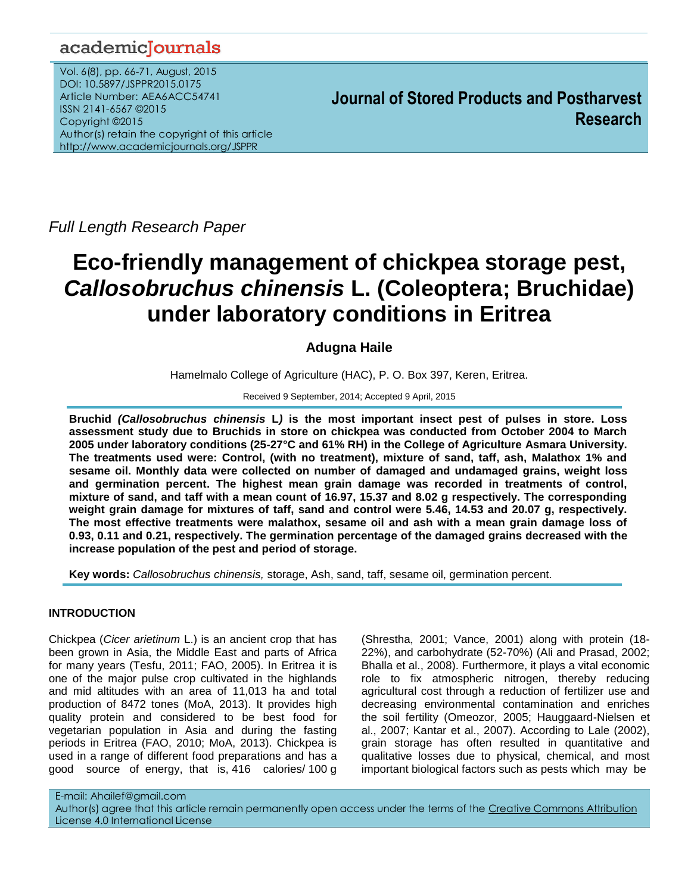# academicJournals

Vol. 6(8), pp. 66-71, August, 2015 DOI: 10.5897/JSPPR2015.0175 Article Number: AEA6ACC54741 ISSN 2141-6567 ©2015 Copyright ©2015 Author(s) retain the copyright of this article http://www.academicjournals.org/JSPPR

**Journal of Stored Products and Postharvest Research**

*Full Length Research Paper*

# **Eco-friendly management of chickpea storage pest,** *Callosobruchus chinensis* **L. (Coleoptera; Bruchidae) under laboratory conditions in Eritrea**

# **Adugna Haile**

Hamelmalo College of Agriculture (HAC), P. O. Box 397, Keren, Eritrea.

Received 9 September, 2014; Accepted 9 April, 2015

**Bruchid** *(Callosobruchus chinensis* **L***)* **is the most important insect pest of pulses in store. Loss assessment study due to Bruchids in store on chickpea was conducted from October 2004 to March 2005 under laboratory conditions (25-27°C and 61% RH) in the College of Agriculture Asmara University. The treatments used were: Control, (with no treatment), mixture of sand, taff, ash, Malathox 1% and sesame oil. Monthly data were collected on number of damaged and undamaged grains, weight loss and germination percent. The highest mean grain damage was recorded in treatments of control, mixture of sand, and taff with a mean count of 16.97, 15.37 and 8.02 g respectively. The corresponding weight grain damage for mixtures of taff, sand and control were 5.46, 14.53 and 20.07 g, respectively. The most effective treatments were malathox, sesame oil and ash with a mean grain damage loss of 0.93, 0.11 and 0.21, respectively. The germination percentage of the damaged grains decreased with the increase population of the pest and period of storage.** 

**Key words:** *Callosobruchus chinensis,* storage, Ash, sand, taff, sesame oil, germination percent.

# **INTRODUCTION**

Chickpea (*Cicer arietinum* L.) is an ancient crop that has been grown in Asia, the Middle East and parts of Africa for many years (Tesfu, 2011; FAO, 2005). In Eritrea it is one of the major pulse crop cultivated in the highlands and mid altitudes with an area of 11,013 ha and total production of 8472 tones (MoA, 2013). It provides high quality protein and considered to be best food for vegetarian population in Asia and during the fasting periods in Eritrea (FAO, 2010; MoA, 2013). Chickpea is used in a range of different food preparations and has a good source of energy, that is, 416 calories/ 100 g (Shrestha, 2001; Vance, 2001) along with protein (18- 22%), and carbohydrate (52-70%) (Ali and Prasad, 2002; Bhalla et al., 2008). Furthermore, it plays a vital economic role to fix atmospheric nitrogen, thereby reducing agricultural cost through a reduction of fertilizer use and decreasing environmental contamination and enriches the soil fertility (Omeozor, 2005; Hauggaard-Nielsen et al., 2007; Kantar et al., 2007). According to Lale (2002), grain storage has often resulted in quantitative and qualitative losses due to physical, chemical, and most important biological factors such as pests which may be

E-mail: Ahailef@gmail.com Author(s) agree that this article remain permanently open access under the terms of the Creative Commons [Attribution](http://creativecommons.org/licenses/by/4.0/deed.en_US) License 4.0 [International](http://creativecommons.org/licenses/by/4.0/deed.en_US) License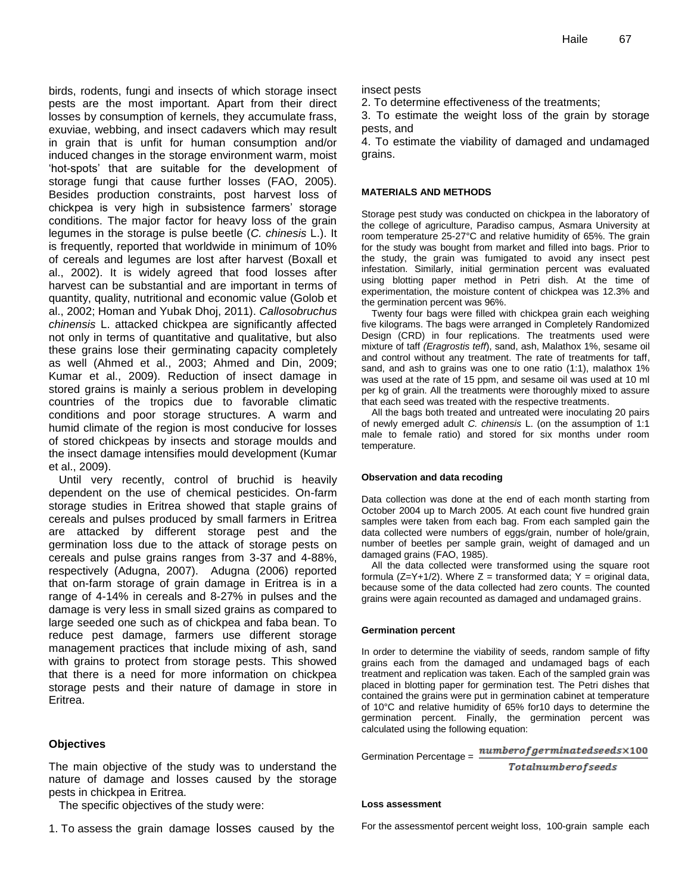birds, rodents, fungi and insects of which storage insect pests are the most important. Apart from their direct losses by consumption of kernels, they accumulate frass, exuviae, webbing, and insect cadavers which may result in grain that is unfit for human consumption and/or induced changes in the storage environment warm, moist 'hot-spots' that are suitable for the development of storage fungi that cause further losses (FAO, 2005). Besides production constraints, post harvest loss of chickpea is very high in subsistence farmers' storage conditions. The major factor for heavy loss of the grain legumes in the storage is pulse beetle (*C. chinesis* L.). It is frequently, reported that worldwide in minimum of 10% of cereals and legumes are lost after harvest (Boxall et al., 2002). It is widely agreed that food losses after harvest can be substantial and are important in terms of quantity, quality, nutritional and economic value (Golob et al., 2002; Homan and Yubak Dhoj, 2011). *Callosobruchus chinensis* L. attacked chickpea are significantly affected not only in terms of quantitative and qualitative, but also these grains lose their germinating capacity completely as well (Ahmed et al., 2003; Ahmed and Din, 2009; Kumar et al., 2009). Reduction of insect damage in stored grains is mainly a serious problem in developing countries of the tropics due to favorable climatic conditions and poor storage structures. A warm and humid climate of the region is most conducive for losses of stored chickpeas by insects and storage moulds and the insect damage intensifies mould development (Kumar et al., 2009).

Until very recently, control of bruchid is heavily dependent on the use of chemical pesticides. On-farm storage studies in Eritrea showed that staple grains of cereals and pulses produced by small farmers in Eritrea are attacked by different storage pest and the germination loss due to the attack of storage pests on cereals and pulse grains ranges from 3-37 and 4-88%, respectively (Adugna, 2007). Adugna (2006) reported that on-farm storage of grain damage in Eritrea is in a range of 4-14% in cereals and 8-27% in pulses and the damage is very less in small sized grains as compared to large seeded one such as of chickpea and faba bean. To reduce pest damage, farmers use different storage management practices that include mixing of ash, sand with grains to protect from storage pests. This showed that there is a need for more information on chickpea storage pests and their nature of damage in store in Eritrea.

# **Objectives**

The main objective of the study was to understand the nature of damage and losses caused by the storage pests in chickpea in Eritrea.

The specific objectives of the study were:

1. To assess the grain damage losses caused by the

insect pests

2. To determine effectiveness of the treatments;

3. To estimate the weight loss of the grain by storage pests, and

4. To estimate the viability of damaged and undamaged grains.

#### **MATERIALS AND METHODS**

Storage pest study was conducted on chickpea in the laboratory of the college of agriculture, Paradiso campus, Asmara University at room temperature 25-27°C and relative humidity of 65%. The grain for the study was bought from market and filled into bags. Prior to the study, the grain was fumigated to avoid any insect pest infestation. Similarly, initial germination percent was evaluated using blotting paper method in Petri dish. At the time of experimentation, the moisture content of chickpea was 12.3% and the germination percent was 96%.

Twenty four bags were filled with chickpea grain each weighing five kilograms. The bags were arranged in Completely Randomized Design (CRD) in four replications. The treatments used were mixture of taff *(Eragrostis teff*), sand, ash, Malathox 1%, sesame oil and control without any treatment. The rate of treatments for taff, sand, and ash to grains was one to one ratio (1:1), malathox 1% was used at the rate of 15 ppm, and sesame oil was used at 10 ml per kg of grain. All the treatments were thoroughly mixed to assure that each seed was treated with the respective treatments.

All the bags both treated and untreated were inoculating 20 pairs of newly emerged adult *C. chinensis* L. (on the assumption of 1:1 male to female ratio) and stored for six months under room temperature.

#### **Observation and data recoding**

Data collection was done at the end of each month starting from October 2004 up to March 2005. At each count five hundred grain samples were taken from each bag. From each sampled gain the data collected were numbers of eggs/grain, number of hole/grain, number of beetles per sample grain, weight of damaged and un damaged grains (FAO, 1985).

All the data collected were transformed using the square root formula ( $Z=Y+1/2$ ). Where  $Z =$  transformed data;  $Y =$  original data, because some of the data collected had zero counts. The counted grains were again recounted as damaged and undamaged grains.

#### **Germination percent**

In order to determine the viability of seeds, random sample of fifty grains each from the damaged and undamaged bags of each treatment and replication was taken. Each of the sampled grain was placed in blotting paper for germination test. The Petri dishes that contained the grains were put in germination cabinet at temperature of 10°C and relative humidity of 65% for10 days to determine the germination percent. Finally, the germination percent was calculated using the following equation:

 $number of germinated seeds \times 100$ Germination Percentage =

**Totalnumberofseeds** 

#### **Loss assessment**

For the assessmentof percent weight loss, 100-grain sample each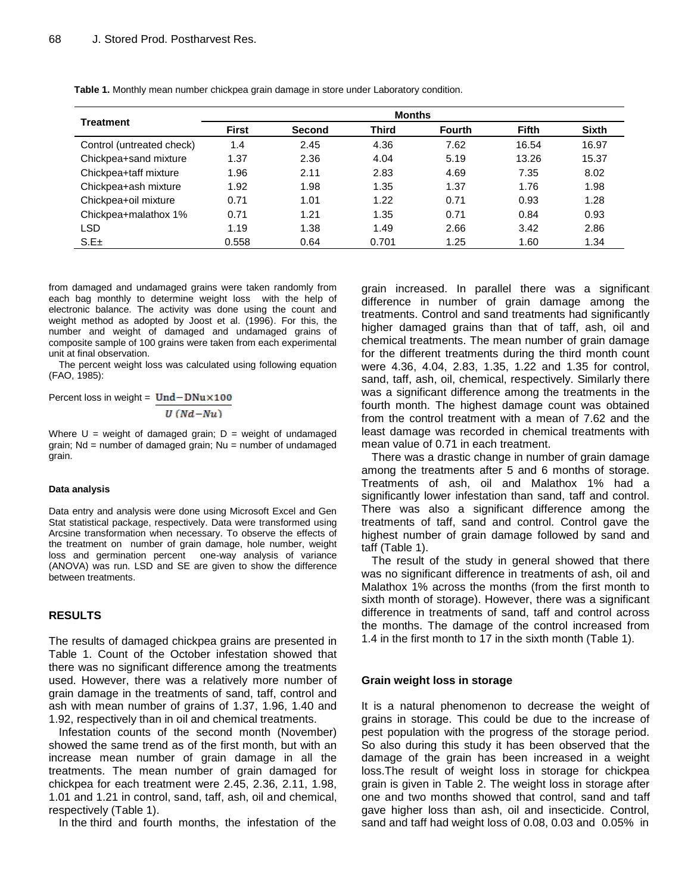| <b>Treatment</b>          | <b>Months</b> |               |       |               |              |              |
|---------------------------|---------------|---------------|-------|---------------|--------------|--------------|
|                           | <b>First</b>  | <b>Second</b> | Third | <b>Fourth</b> | <b>Fifth</b> | <b>Sixth</b> |
| Control (untreated check) | 1.4           | 2.45          | 4.36  | 7.62          | 16.54        | 16.97        |
| Chickpea+sand mixture     | 1.37          | 2.36          | 4.04  | 5.19          | 13.26        | 15.37        |
| Chickpea+taff mixture     | 1.96          | 2.11          | 2.83  | 4.69          | 7.35         | 8.02         |
| Chickpea+ash mixture      | 1.92          | 1.98          | 1.35  | 1.37          | 1.76         | 1.98         |
| Chickpea+oil mixture      | 0.71          | 1.01          | 1.22  | 0.71          | 0.93         | 1.28         |
| Chickpea+malathox 1%      | 0.71          | 1.21          | 1.35  | 0.71          | 0.84         | 0.93         |
| LSD                       | 1.19          | 1.38          | 1.49  | 2.66          | 3.42         | 2.86         |
| S.E±                      | 0.558         | 0.64          | 0.701 | 1.25          | 1.60         | 1.34         |

**Table 1.** Monthly mean number chickpea grain damage in store under Laboratory condition.

from damaged and undamaged grains were taken randomly from each bag monthly to determine weight loss with the help of electronic balance. The activity was done using the count and weight method as adopted by Joost et al. (1996). For this, the number and weight of damaged and undamaged grains of composite sample of 100 grains were taken from each experimental unit at final observation.

The percent weight loss was calculated using following equation (FAO, 1985):

Percent loss in weight =  $Und - DNu \times 100$ 

$$
U\left( Nd\!-\!Nu\right)
$$

Where  $U =$  weight of damaged grain;  $D =$  weight of undamaged grain;  $Nd$  = number of damaged grain;  $Nu$  = number of undamaged grain.

#### **Data analysis**

Data entry and analysis were done using Microsoft Excel and Gen Stat statistical package, respectively. Data were transformed using Arcsine transformation when necessary. To observe the effects of the treatment on number of grain damage, hole number, weight loss and germination percent one-way analysis of variance (ANOVA) was run. LSD and SE are given to show the difference between treatments.

### **RESULTS**

The results of damaged chickpea grains are presented in Table 1. Count of the October infestation showed that there was no significant difference among the treatments used. However, there was a relatively more number of grain damage in the treatments of sand, taff, control and ash with mean number of grains of 1.37, 1.96, 1.40 and 1.92, respectively than in oil and chemical treatments.

Infestation counts of the second month (November) showed the same trend as of the first month, but with an increase mean number of grain damage in all the treatments. The mean number of grain damaged for chickpea for each treatment were 2.45, 2.36, 2.11, 1.98, 1.01 and 1.21 in control, sand, taff, ash, oil and chemical, respectively (Table 1).

In the third and fourth months, the infestation of the

grain increased. In parallel there was a significant difference in number of grain damage among the treatments. Control and sand treatments had significantly higher damaged grains than that of taff, ash, oil and chemical treatments. The mean number of grain damage for the different treatments during the third month count were 4.36, 4.04, 2.83, 1.35, 1.22 and 1.35 for control, sand, taff, ash, oil, chemical, respectively. Similarly there was a significant difference among the treatments in the fourth month. The highest damage count was obtained from the control treatment with a mean of 7.62 and the least damage was recorded in chemical treatments with mean value of 0.71 in each treatment.

There was a drastic change in number of grain damage among the treatments after 5 and 6 months of storage. Treatments of ash, oil and Malathox 1% had a significantly lower infestation than sand, taff and control. There was also a significant difference among the treatments of taff, sand and control. Control gave the highest number of grain damage followed by sand and taff (Table 1).

The result of the study in general showed that there was no significant difference in treatments of ash, oil and Malathox 1% across the months (from the first month to sixth month of storage). However, there was a significant difference in treatments of sand, taff and control across the months. The damage of the control increased from 1.4 in the first month to 17 in the sixth month (Table 1).

#### **Grain weight loss in storage**

It is a natural phenomenon to decrease the weight of grains in storage. This could be due to the increase of pest population with the progress of the storage period. So also during this study it has been observed that the damage of the grain has been increased in a weight loss.The result of weight loss in storage for chickpea grain is given in Table 2. The weight loss in storage after one and two months showed that control, sand and taff gave higher loss than ash, oil and insecticide. Control, sand and taff had weight loss of 0.08, 0.03 and 0.05% in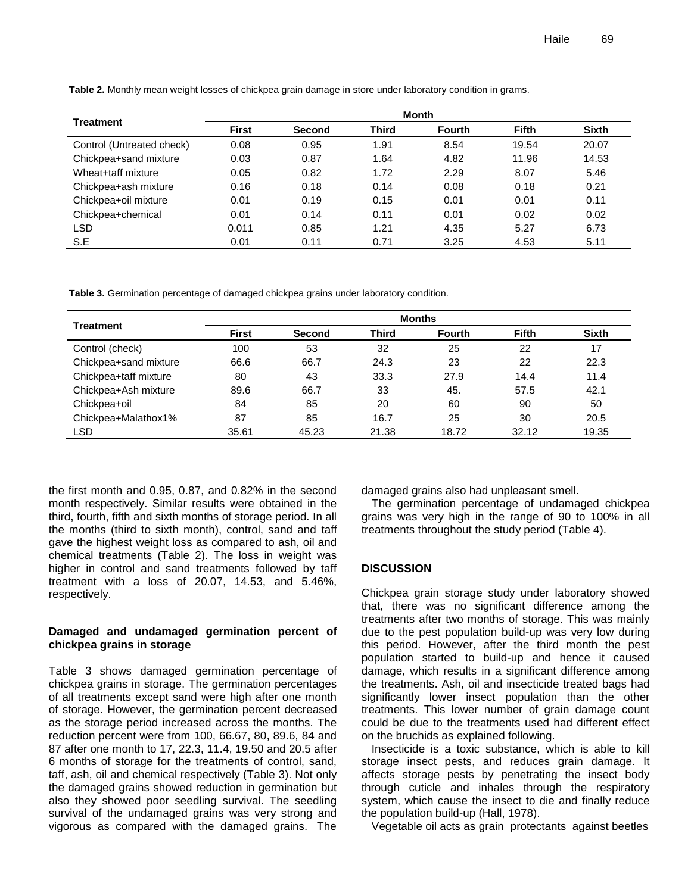| <b>Treatment</b>          |              |               |              | Month         |       |              |
|---------------------------|--------------|---------------|--------------|---------------|-------|--------------|
|                           | <b>First</b> | <b>Second</b> | <b>Third</b> | <b>Fourth</b> | Fifth | <b>Sixth</b> |
| Control (Untreated check) | 0.08         | 0.95          | 1.91         | 8.54          | 19.54 | 20.07        |
| Chickpea+sand mixture     | 0.03         | 0.87          | 1.64         | 4.82          | 11.96 | 14.53        |
| Wheat+taff mixture        | 0.05         | 0.82          | 1.72         | 2.29          | 8.07  | 5.46         |
| Chickpea+ash mixture      | 0.16         | 0.18          | 0.14         | 0.08          | 0.18  | 0.21         |
| Chickpea+oil mixture      | 0.01         | 0.19          | 0.15         | 0.01          | 0.01  | 0.11         |
| Chickpea+chemical         | 0.01         | 0.14          | 0.11         | 0.01          | 0.02  | 0.02         |
| <b>LSD</b>                | 0.011        | 0.85          | 1.21         | 4.35          | 5.27  | 6.73         |
| S.E                       | 0.01         | 0.11          | 0.71         | 3.25          | 4.53  | 5.11         |

**Table 2.** Monthly mean weight losses of chickpea grain damage in store under laboratory condition in grams.

**Table 3.** Germination percentage of damaged chickpea grains under laboratory condition.

| Treatment             | <b>Months</b> |               |       |               |              |              |
|-----------------------|---------------|---------------|-------|---------------|--------------|--------------|
|                       | <b>First</b>  | <b>Second</b> | Third | <b>Fourth</b> | <b>Fifth</b> | <b>Sixth</b> |
| Control (check)       | 100           | 53            | 32    | 25            | 22           | 17           |
| Chickpea+sand mixture | 66.6          | 66.7          | 24.3  | 23            | 22           | 22.3         |
| Chickpea+taff mixture | 80            | 43            | 33.3  | 27.9          | 14.4         | 11.4         |
| Chickpea+Ash mixture  | 89.6          | 66.7          | 33    | 45.           | 57.5         | 42.1         |
| Chickpea+oil          | 84            | 85            | 20    | 60            | 90           | 50           |
| Chickpea+Malathox1%   | 87            | 85            | 16.7  | 25            | 30           | 20.5         |
| LSD                   | 35.61         | 45.23         | 21.38 | 18.72         | 32.12        | 19.35        |

the first month and 0.95, 0.87, and 0.82% in the second month respectively. Similar results were obtained in the third, fourth, fifth and sixth months of storage period. In all the months (third to sixth month), control, sand and taff gave the highest weight loss as compared to ash, oil and chemical treatments (Table 2). The loss in weight was higher in control and sand treatments followed by taff treatment with a loss of 20.07, 14.53, and 5.46%, respectively.

## **Damaged and undamaged germination percent of chickpea grains in storage**

Table 3 shows damaged germination percentage of chickpea grains in storage. The germination percentages of all treatments except sand were high after one month of storage. However, the germination percent decreased as the storage period increased across the months. The reduction percent were from 100, 66.67, 80, 89.6, 84 and 87 after one month to 17, 22.3, 11.4, 19.50 and 20.5 after 6 months of storage for the treatments of control, sand, taff, ash, oil and chemical respectively (Table 3). Not only the damaged grains showed reduction in germination but also they showed poor seedling survival. The seedling survival of the undamaged grains was very strong and vigorous as compared with the damaged grains. The damaged grains also had unpleasant smell.

The germination percentage of undamaged chickpea grains was very high in the range of 90 to 100% in all treatments throughout the study period (Table 4).

# **DISCUSSION**

Chickpea grain storage study under laboratory showed that, there was no significant difference among the treatments after two months of storage. This was mainly due to the pest population build-up was very low during this period. However, after the third month the pest population started to build-up and hence it caused damage, which results in a significant difference among the treatments. Ash, oil and insecticide treated bags had significantly lower insect population than the other treatments. This lower number of grain damage count could be due to the treatments used had different effect on the bruchids as explained following.

Insecticide is a toxic substance, which is able to kill storage insect pests, and reduces grain damage. It affects storage pests by penetrating the insect body through cuticle and inhales through the respiratory system, which cause the insect to die and finally reduce the population build-up (Hall, 1978).

Vegetable oil acts as grain protectants against beetles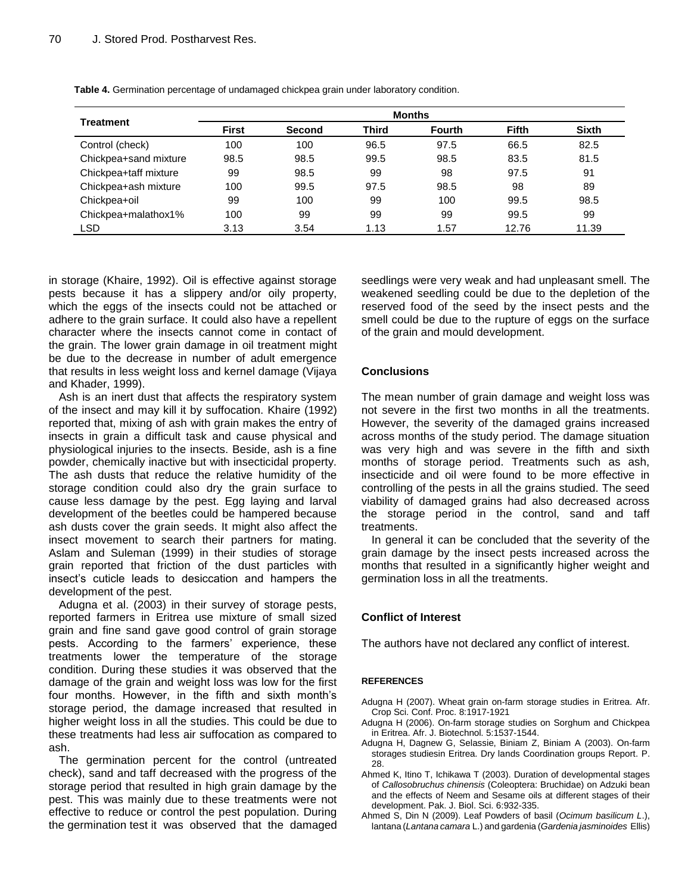| Treatment             | <b>Months</b> |               |       |               |              |              |
|-----------------------|---------------|---------------|-------|---------------|--------------|--------------|
|                       | <b>First</b>  | <b>Second</b> | Third | <b>Fourth</b> | <b>Fifth</b> | <b>Sixth</b> |
| Control (check)       | 100           | 100           | 96.5  | 97.5          | 66.5         | 82.5         |
| Chickpea+sand mixture | 98.5          | 98.5          | 99.5  | 98.5          | 83.5         | 81.5         |
| Chickpea+taff mixture | 99            | 98.5          | 99    | 98            | 97.5         | 91           |
| Chickpea+ash mixture  | 100           | 99.5          | 97.5  | 98.5          | 98           | 89           |
| Chickpea+oil          | 99            | 100           | 99    | 100           | 99.5         | 98.5         |
| Chickpea+malathox1%   | 100           | 99            | 99    | 99            | 99.5         | 99           |
| LSD                   | 3.13          | 3.54          | 1.13  | 1.57          | 12.76        | 11.39        |

**Table 4.** Germination percentage of undamaged chickpea grain under laboratory condition.

in storage (Khaire, 1992). Oil is effective against storage pests because it has a slippery and/or oily property, which the eggs of the insects could not be attached or adhere to the grain surface. It could also have a repellent character where the insects cannot come in contact of the grain. The lower grain damage in oil treatment might be due to the decrease in number of adult emergence that results in less weight loss and kernel damage (Vijaya and Khader, 1999).

Ash is an inert dust that affects the respiratory system of the insect and may kill it by suffocation. Khaire (1992) reported that, mixing of ash with grain makes the entry of insects in grain a difficult task and cause physical and physiological injuries to the insects. Beside, ash is a fine powder, chemically inactive but with insecticidal property. The ash dusts that reduce the relative humidity of the storage condition could also dry the grain surface to cause less damage by the pest. Egg laying and larval development of the beetles could be hampered because ash dusts cover the grain seeds. It might also affect the insect movement to search their partners for mating. Aslam and Suleman (1999) in their studies of storage grain reported that friction of the dust particles with insect's cuticle leads to desiccation and hampers the development of the pest.

Adugna et al. (2003) in their survey of storage pests, reported farmers in Eritrea use mixture of small sized grain and fine sand gave good control of grain storage pests. According to the farmers' experience, these treatments lower the temperature of the storage condition. During these studies it was observed that the damage of the grain and weight loss was low for the first four months. However, in the fifth and sixth month's storage period, the damage increased that resulted in higher weight loss in all the studies. This could be due to these treatments had less air suffocation as compared to ash.

The germination percent for the control (untreated check), sand and taff decreased with the progress of the storage period that resulted in high grain damage by the pest. This was mainly due to these treatments were not effective to reduce or control the pest population. During the germination test it was observed that the damaged

seedlings were very weak and had unpleasant smell. The weakened seedling could be due to the depletion of the reserved food of the seed by the insect pests and the smell could be due to the rupture of eggs on the surface of the grain and mould development.

# **Conclusions**

The mean number of grain damage and weight loss was not severe in the first two months in all the treatments. However, the severity of the damaged grains increased across months of the study period. The damage situation was very high and was severe in the fifth and sixth months of storage period. Treatments such as ash, insecticide and oil were found to be more effective in controlling of the pests in all the grains studied. The seed viability of damaged grains had also decreased across the storage period in the control, sand and taff treatments.

In general it can be concluded that the severity of the grain damage by the insect pests increased across the months that resulted in a significantly higher weight and germination loss in all the treatments.

# **Conflict of Interest**

The authors have not declared any conflict of interest.

# **REFERENCES**

- Adugna H (2007). Wheat grain on-farm storage studies in Eritrea. Afr. Crop Sci. Conf. Proc. 8:1917-1921
- Adugna H (2006). On-farm storage studies on Sorghum and Chickpea in Eritrea. Afr. J. Biotechnol. 5:1537-1544.
- Adugna H, Dagnew G, Selassie, Biniam Z, Biniam A (2003). On-farm storages studiesin Eritrea. Dry lands Coordination groups Report. P. 28.
- Ahmed K, Itino T, Ichikawa T (2003). Duration of developmental stages of *Callosobruchus chinensis* (Coleoptera: Bruchidae) on Adzuki bean and the effects of Neem and Sesame oils at different stages of their development. Pak. J. Biol. Sci. 6:932-335.
- Ahmed S, Din N (2009). Leaf Powders of basil (*Ocimum basilicum L*.), lantana (*Lantana camara* L.) and gardenia (*Gardenia jasminoides* Ellis)